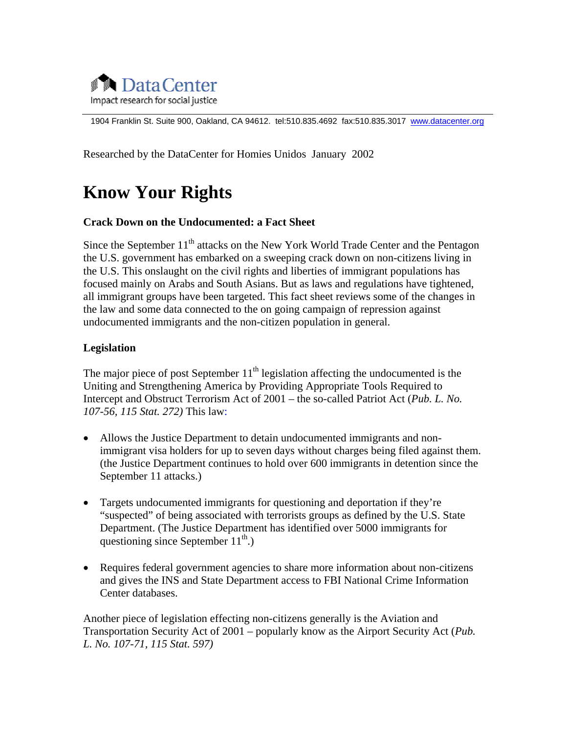

1904 Franklin St. Suite 900, Oakland, CA 94612. tel:510.835.4692 fax:510.835.3017 [www.datacenter.org](http://www.datacenter.org/)

Researched by the DataCenter for Homies Unidos January 2002

# **Know Your Rights**

#### **Crack Down on the Undocumented: a Fact Sheet**

Since the September  $11<sup>th</sup>$  attacks on the New York World Trade Center and the Pentagon the U.S. government has embarked on a sweeping crack down on non-citizens living in the U.S. This onslaught on the civil rights and liberties of immigrant populations has focused mainly on Arabs and South Asians. But as laws and regulations have tightened, all immigrant groups have been targeted. This fact sheet reviews some of the changes in the law and some data connected to the on going campaign of repression against undocumented immigrants and the non-citizen population in general.

#### **Legislation**

The major piece of post September  $11<sup>th</sup>$  legislation affecting the undocumented is the Uniting and Strengthening America by Providing Appropriate Tools Required to Intercept and Obstruct Terrorism Act of 2001 – the so-called Patriot Act (*Pub. L. No. 107-56, 115 Stat. 272)* This law:

- Allows the Justice Department to detain undocumented immigrants and nonimmigrant visa holders for up to seven days without charges being filed against them. (the Justice Department continues to hold over 600 immigrants in detention since the September 11 attacks.)
- Targets undocumented immigrants for questioning and deportation if they're "suspected" of being associated with terrorists groups as defined by the U.S. State Department. (The Justice Department has identified over 5000 immigrants for questioning since September  $11^{th}$ .)
- Requires federal government agencies to share more information about non-citizens and gives the INS and State Department access to FBI National Crime Information Center databases.

Another piece of legislation effecting non-citizens generally is the Aviation and Transportation Security Act of 2001 – popularly know as the Airport Security Act (*Pub. L. No. 107-71, 115 Stat. 597)*